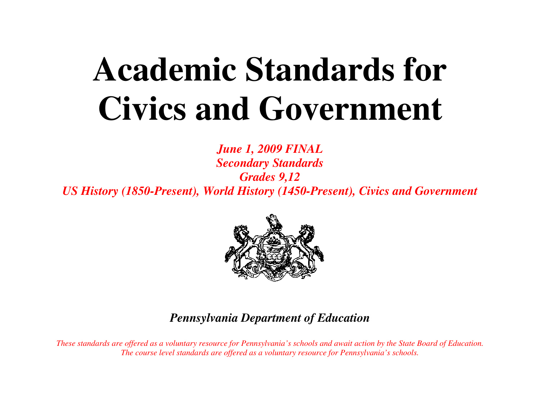# **Academic Standards for Civics and Government**

*June 1, 2009 FINAL Secondary Standards Grades 9,12 US History (1850-Present), World History (1450-Present), Civics and Government* 



# *Pennsylvania Department of Education*

*These standards are offered as a voluntary resource for Pennsylvania's schools and await action by the State Board of Education. The course level standards are offered as a voluntary resource for Pennsylvania's schools.*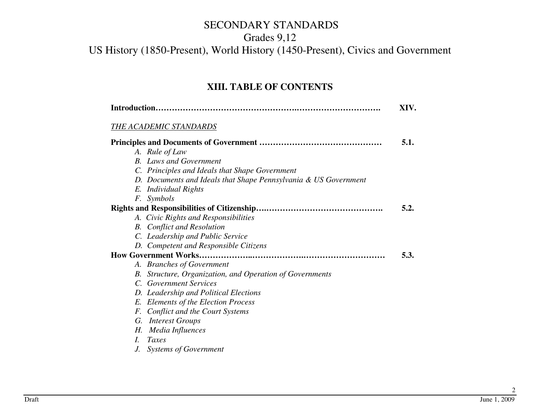#### Grades 9,12

## US History (1850-Present), World History (1450-Present), Civics and Government

#### **XIII. TABLE OF CONTENTS**

|    |                                                                 | XIV. |
|----|-----------------------------------------------------------------|------|
|    | THE ACADEMIC STANDARDS                                          |      |
|    |                                                                 | 5.1. |
|    | A. Rule of Law                                                  |      |
|    | <b>B.</b> Laws and Government                                   |      |
|    | C. Principles and Ideals that Shape Government                  |      |
|    | D. Documents and Ideals that Shape Pennsylvania & US Government |      |
|    | E. Individual Rights                                            |      |
|    | F. Symbols                                                      |      |
|    |                                                                 | 5.2. |
|    | A. Civic Rights and Responsibilities                            |      |
|    | <b>B.</b> Conflict and Resolution                               |      |
|    | C. Leadership and Public Service                                |      |
|    | D. Competent and Responsible Citizens                           |      |
|    |                                                                 | 5.3. |
|    | A. Branches of Government                                       |      |
| B. | Structure, Organization, and Operation of Governments           |      |
|    | C. Government Services                                          |      |
|    | D. Leadership and Political Elections                           |      |
|    | E. Elements of the Election Process                             |      |
|    | F. Conflict and the Court Systems                               |      |
|    | G. Interest Groups                                              |      |
| Н. | Media Influences                                                |      |
| I. | Taxes                                                           |      |

*J. Systems of Government*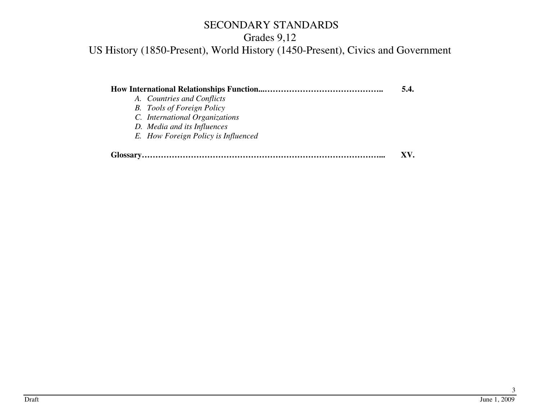# Grades 9,12

US History (1850-Present), World History (1450-Present), Civics and Government

|                                     | 5.4. |
|-------------------------------------|------|
| A. Countries and Conflicts          |      |
| <b>B.</b> Tools of Foreign Policy   |      |
| C. International Organizations      |      |
| D. Media and its Influences         |      |
| E. How Foreign Policy is Influenced |      |
|                                     | XV.  |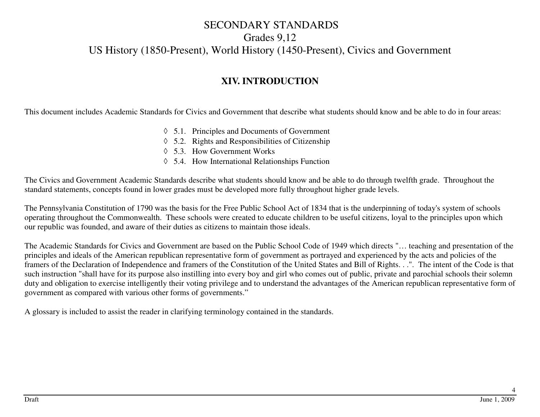#### SECONDARY STANDARDS Grades 9,12

# US History (1850-Present), World History (1450-Present), Civics and Government

#### **XIV. INTRODUCTION**

This document includes Academic Standards for Civics and Government that describe what students should know and be able to do in four areas:

- ◊ 5.1. Principles and Documents of Government
- ◊ 5.2. Rights and Responsibilities of Citizenship
- ◊ 5.3. How Government Works
- ◊ 5.4. How International Relationships Function

The Civics and Government Academic Standards describe what students should know and be able to do through twelfth grade. Throughout the standard statements, concepts found in lower grades must be developed more fully throughout higher grade levels.

The Pennsylvania Constitution of 1790 was the basis for the Free Public School Act of 1834 that is the underpinning of today's system of schools operating throughout the Commonwealth. These schools were created to educate children to be useful citizens, loyal to the principles upon which our republic was founded, and aware of their duties as citizens to maintain those ideals.

The Academic Standards for Civics and Government are based on the Public School Code of 1949 which directs "… teaching and presentation of the principles and ideals of the American republican representative form of government as portrayed and experienced by the acts and policies of the framers of the Declaration of Independence and framers of the Constitution of the United States and Bill of Rights. . .". The intent of the Code is that such instruction "shall have for its purpose also instilling into every boy and girl who comes out of public, private and parochial schools their solemn duty and obligation to exercise intelligently their voting privilege and to understand the advantages of the American republican representative form of government as compared with various other forms of governments."

A glossary is included to assist the reader in clarifying terminology contained in the standards.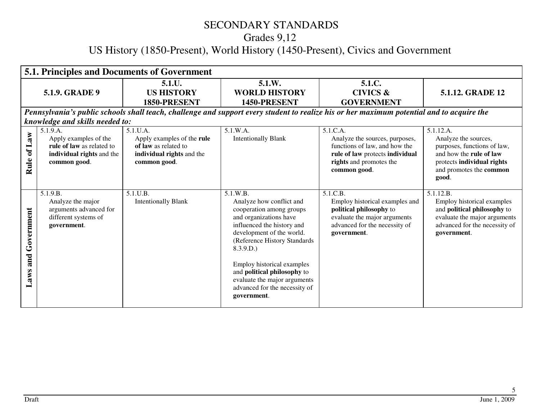# Grades 9,12

# US History (1850-Present), World History (1450-Present), Civics and Government

|                           |                                                                                                             | <b>5.1. Principles and Documents of Government</b>                                                            |                                                                                                                                                                                                                                                                                                                                                |                                                                                                                                                           |                                                                                                                                                                      |
|---------------------------|-------------------------------------------------------------------------------------------------------------|---------------------------------------------------------------------------------------------------------------|------------------------------------------------------------------------------------------------------------------------------------------------------------------------------------------------------------------------------------------------------------------------------------------------------------------------------------------------|-----------------------------------------------------------------------------------------------------------------------------------------------------------|----------------------------------------------------------------------------------------------------------------------------------------------------------------------|
|                           | <b>5.1.9. GRADE 9</b>                                                                                       | 5.1.U.<br><b>US HISTORY</b><br>1850-PRESENT                                                                   | 5.1.W.<br><b>WORLD HISTORY</b><br>1450-PRESENT                                                                                                                                                                                                                                                                                                 | 5.1.C.<br><b>CIVICS &amp;</b><br><b>GOVERNMENT</b>                                                                                                        | 5.1.12. GRADE 12                                                                                                                                                     |
|                           |                                                                                                             |                                                                                                               |                                                                                                                                                                                                                                                                                                                                                | Pennsylvania's public schools shall teach, challenge and support every student to realize his or her maximum potential and to acquire the                 |                                                                                                                                                                      |
|                           | knowledge and skills needed to:                                                                             |                                                                                                               |                                                                                                                                                                                                                                                                                                                                                |                                                                                                                                                           |                                                                                                                                                                      |
| of Law<br>Rule            | 5.1.9.A.<br>Apply examples of the<br>rule of law as related to<br>individual rights and the<br>common good. | $5.1$ U.A.<br>Apply examples of the rule<br>of law as related to<br>individual rights and the<br>common good. | 5.1.W.A.<br><b>Intentionally Blank</b>                                                                                                                                                                                                                                                                                                         | 5.1.C.A.<br>Analyze the sources, purposes,<br>functions of law, and how the<br>rule of law protects individual<br>rights and promotes the<br>common good. | 5.1.12.A.<br>Analyze the sources,<br>purposes, functions of law,<br>and how the <b>rule of law</b><br>protects individual rights<br>and promotes the common<br>good. |
| Government<br>and<br>Laws | 5.1.9.B.<br>Analyze the major<br>arguments advanced for<br>different systems of<br>government.              | 5.1.U.B.<br><b>Intentionally Blank</b>                                                                        | 5.1.W.B.<br>Analyze how conflict and<br>cooperation among groups<br>and organizations have<br>influenced the history and<br>development of the world.<br>(Reference History Standards<br>8.3.9.D.<br>Employ historical examples<br>and political philosophy to<br>evaluate the major arguments<br>advanced for the necessity of<br>government. | 5.1.C.B.<br>Employ historical examples and<br>political philosophy to<br>evaluate the major arguments<br>advanced for the necessity of<br>government.     | 5.1.12.B.<br>Employ historical examples<br>and political philosophy to<br>evaluate the major arguments<br>advanced for the necessity of<br>government.               |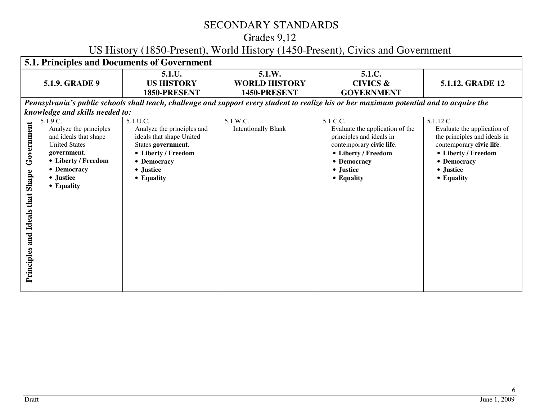# Grades 9,12

## US History (1850-Present), World History (1450-Present), Civics and Government

|                                                            |                                                                                                                                                                     | <b>5.1. Principles and Documents of Government</b>                                                                                                        |                                                |                                                                                                                                                                      |                                                                                                                                                                       |
|------------------------------------------------------------|---------------------------------------------------------------------------------------------------------------------------------------------------------------------|-----------------------------------------------------------------------------------------------------------------------------------------------------------|------------------------------------------------|----------------------------------------------------------------------------------------------------------------------------------------------------------------------|-----------------------------------------------------------------------------------------------------------------------------------------------------------------------|
|                                                            | 5.1.9. GRADE 9                                                                                                                                                      | 5.1.U.<br><b>US HISTORY</b><br>1850-PRESENT                                                                                                               | 5.1.W.<br><b>WORLD HISTORY</b><br>1450-PRESENT | 5.1.C.<br><b>CIVICS &amp;</b><br><b>GOVERNMENT</b>                                                                                                                   | 5.1.12. GRADE 12                                                                                                                                                      |
|                                                            |                                                                                                                                                                     |                                                                                                                                                           |                                                | Pennsylvania's public schools shall teach, challenge and support every student to realize his or her maximum potential and to acquire the                            |                                                                                                                                                                       |
|                                                            | knowledge and skills needed to:                                                                                                                                     |                                                                                                                                                           |                                                |                                                                                                                                                                      |                                                                                                                                                                       |
| Government<br>Shape<br>that<br>Ideals<br>and<br>Principles | 5.1.9.C.<br>Analyze the principles<br>and ideals that shape<br><b>United States</b><br>government.<br>• Liberty / Freedom<br>• Democracy<br>• Justice<br>• Equality | 5.1.U.C.<br>Analyze the principles and<br>ideals that shape United<br>States government.<br>• Liberty / Freedom<br>• Democracy<br>• Justice<br>• Equality | 5.1.W.C.<br><b>Intentionally Blank</b>         | 5.1.C.C.<br>Evaluate the application of the<br>principles and ideals in<br>contemporary civic life.<br>• Liberty / Freedom<br>• Democracy<br>• Justice<br>• Equality | 5.1.12.C.<br>Evaluate the application of<br>the principles and ideals in<br>contemporary civic life.<br>• Liberty / Freedom<br>• Democracy<br>• Justice<br>• Equality |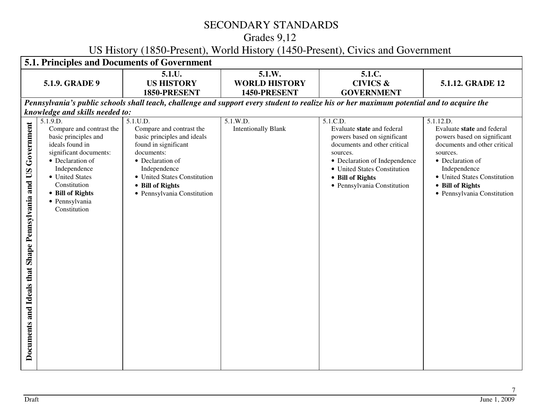# Grades 9,12

## US History (1850-Present), World History (1450-Present), Civics and Government

|                                                                   |                                                                                                                                                                                                                                        | 5.1. Principles and Documents of Government                                                                                                                                                                                      |                                                |                                                                                                                                                                                                                                       |                                                                                                                                                                                                                                           |
|-------------------------------------------------------------------|----------------------------------------------------------------------------------------------------------------------------------------------------------------------------------------------------------------------------------------|----------------------------------------------------------------------------------------------------------------------------------------------------------------------------------------------------------------------------------|------------------------------------------------|---------------------------------------------------------------------------------------------------------------------------------------------------------------------------------------------------------------------------------------|-------------------------------------------------------------------------------------------------------------------------------------------------------------------------------------------------------------------------------------------|
|                                                                   | 5.1.9. GRADE 9                                                                                                                                                                                                                         | 5.1.U.<br><b>US HISTORY</b><br>1850-PRESENT                                                                                                                                                                                      | 5.1.W.<br><b>WORLD HISTORY</b><br>1450-PRESENT | 5.1.C.<br><b>CIVICS &amp;</b><br><b>GOVERNMENT</b>                                                                                                                                                                                    | 5.1.12. GRADE 12                                                                                                                                                                                                                          |
|                                                                   |                                                                                                                                                                                                                                        |                                                                                                                                                                                                                                  |                                                | Pennsylvania's public schools shall teach, challenge and support every student to realize his or her maximum potential and to acquire the                                                                                             |                                                                                                                                                                                                                                           |
|                                                                   | knowledge and skills needed to:                                                                                                                                                                                                        |                                                                                                                                                                                                                                  |                                                |                                                                                                                                                                                                                                       |                                                                                                                                                                                                                                           |
| Government<br>Documents and Ideals that Shape Pennsylvania and US | 5.1.9.D.<br>Compare and contrast the<br>basic principles and<br>ideals found in<br>significant documents:<br>• Declaration of<br>Independence<br>• United States<br>Constitution<br>• Bill of Rights<br>· Pennsylvania<br>Constitution | 5.1.U.D.<br>Compare and contrast the<br>basic principles and ideals<br>found in significant<br>documents:<br>• Declaration of<br>Independence<br>• United States Constitution<br>• Bill of Rights<br>· Pennsylvania Constitution | 5.1.W.D.<br><b>Intentionally Blank</b>         | 5.1.C.D.<br>Evaluate state and federal<br>powers based on significant<br>documents and other critical<br>sources.<br>• Declaration of Independence<br>• United States Constitution<br>• Bill of Rights<br>• Pennsylvania Constitution | 5.1.12.D.<br>Evaluate state and federal<br>powers based on significant<br>documents and other critical<br>sources.<br>• Declaration of<br>Independence<br>• United States Constitution<br>• Bill of Rights<br>• Pennsylvania Constitution |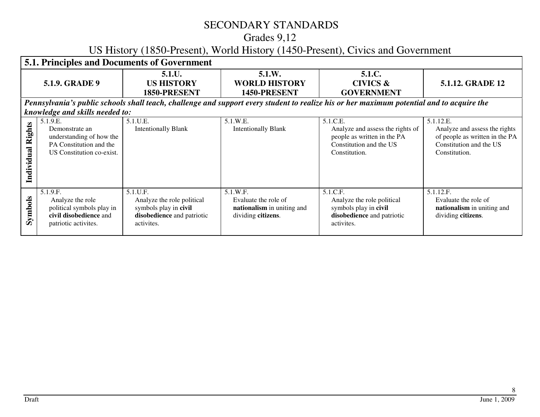## Grades 9,12

# US History (1850-Present), World History (1450-Present), Civics and Government

|                   | <b>5.1. Principles and Documents of Government</b>                                                             |                                                                                                             |                                                                                      |                                                                                                                                           |                                                                                                                          |  |  |
|-------------------|----------------------------------------------------------------------------------------------------------------|-------------------------------------------------------------------------------------------------------------|--------------------------------------------------------------------------------------|-------------------------------------------------------------------------------------------------------------------------------------------|--------------------------------------------------------------------------------------------------------------------------|--|--|
|                   | <b>5.1.9. GRADE 9</b>                                                                                          | 5.1.U.<br><b>US HISTORY</b><br>1850-PRESENT                                                                 | 5.1.W.<br><b>WORLD HISTORY</b><br>1450-PRESENT                                       | 5.1.C.<br><b>CIVICS &amp;</b><br><b>GOVERNMENT</b>                                                                                        | 5.1.12. GRADE 12                                                                                                         |  |  |
|                   |                                                                                                                |                                                                                                             |                                                                                      | Pennsylvania's public schools shall teach, challenge and support every student to realize his or her maximum potential and to acquire the |                                                                                                                          |  |  |
|                   | knowledge and skills needed to:                                                                                |                                                                                                             |                                                                                      |                                                                                                                                           |                                                                                                                          |  |  |
| Individual Rights | 5.1.9.E.<br>Demonstrate an<br>understanding of how the<br>PA Constitution and the<br>US Constitution co-exist. | 5.1.U.E.<br><b>Intentionally Blank</b>                                                                      | 5.1.W.E.<br><b>Intentionally Blank</b>                                               | 5.1.C.E.<br>Analyze and assess the rights of<br>people as written in the PA<br>Constitution and the US<br>Constitution.                   | 5.1.12.E.<br>Analyze and assess the rights<br>of people as written in the PA<br>Constitution and the US<br>Constitution. |  |  |
| Symbols           | 5.1.9.F.<br>Analyze the role<br>political symbols play in<br>civil disobedience and<br>patriotic activites.    | 5.1.U.F.<br>Analyze the role political<br>symbols play in civil<br>disobedience and patriotic<br>activites. | 5.1.W.F.<br>Evaluate the role of<br>nationalism in uniting and<br>dividing citizens. | 5.1.C.F.<br>Analyze the role political<br>symbols play in civil<br>disobedience and patriotic<br>activites.                               | 5.1.12.F.<br>Evaluate the role of<br>nationalism in uniting and<br>dividing citizens.                                    |  |  |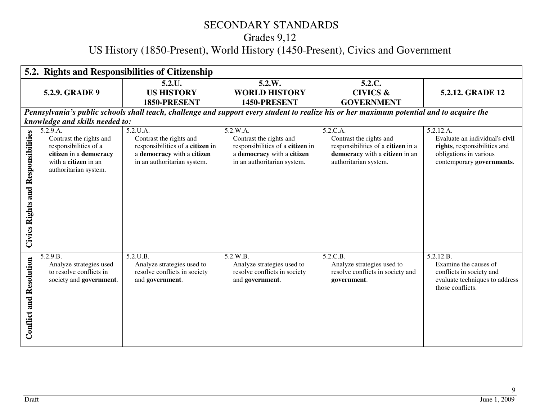Grades 9,12

# US History (1850-Present), World History (1450-Present), Civics and Government

|                                              | 5.2. Rights and Responsibilities of Citizenship                                                                                         |                                                                                                                                      |                                                                                                                                      |                                                                                                                                           |                                                                                                                                    |  |  |
|----------------------------------------------|-----------------------------------------------------------------------------------------------------------------------------------------|--------------------------------------------------------------------------------------------------------------------------------------|--------------------------------------------------------------------------------------------------------------------------------------|-------------------------------------------------------------------------------------------------------------------------------------------|------------------------------------------------------------------------------------------------------------------------------------|--|--|
|                                              | 5.2.9. GRADE 9                                                                                                                          | 5.2.U.<br><b>US HISTORY</b>                                                                                                          | 5.2.W.<br><b>WORLD HISTORY</b>                                                                                                       | 5.2.C.<br><b>CIVICS &amp;</b>                                                                                                             | 5.2.12. GRADE 12                                                                                                                   |  |  |
|                                              |                                                                                                                                         | 1850-PRESENT                                                                                                                         | 1450-PRESENT                                                                                                                         | <b>GOVERNMENT</b>                                                                                                                         |                                                                                                                                    |  |  |
|                                              | knowledge and skills needed to:                                                                                                         |                                                                                                                                      |                                                                                                                                      | Pennsylvania's public schools shall teach, challenge and support every student to realize his or her maximum potential and to acquire the |                                                                                                                                    |  |  |
| and Responsibilities<br><b>Civics Rights</b> | 5.2.9.A.<br>Contrast the rights and<br>responsibilities of a<br>citizen in a democracy<br>with a citizen in an<br>authoritarian system. | 5.2.U.A.<br>Contrast the rights and<br>responsibilities of a citizen in<br>a democracy with a citizen<br>in an authoritarian system. | 5.2.W.A.<br>Contrast the rights and<br>responsibilities of a citizen in<br>a democracy with a citizen<br>in an authoritarian system. | 5.2.C.A.<br>Contrast the rights and<br>responsibilities of a citizen in a<br>democracy with a citizen in an<br>authoritarian system.      | 5.2.12.A.<br>Evaluate an individual's civil<br>rights, responsibilities and<br>obligations in various<br>contemporary governments. |  |  |
| <b>Conflict and Resolution</b>               | 5.2.9.B.<br>Analyze strategies used<br>to resolve conflicts in<br>society and government.                                               | 5.2.U.B.<br>Analyze strategies used to<br>resolve conflicts in society<br>and government.                                            | 5.2.W.B.<br>Analyze strategies used to<br>resolve conflicts in society<br>and government.                                            | 5.2.C.B.<br>Analyze strategies used to<br>resolve conflicts in society and<br>government.                                                 | 5.2.12.B.<br>Examine the causes of<br>conflicts in society and<br>evaluate techniques to address<br>those conflicts.               |  |  |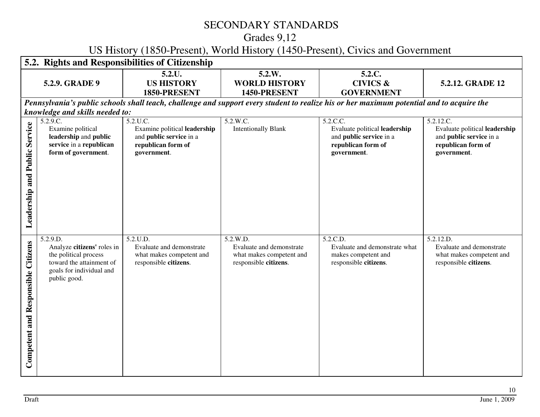# Grades 9,12

## US History (1850-Present), World History (1450-Present), Civics and Government

|                                           |                                                                                                                                         | 5.2. Rights and Responsibilities of Citizenship                                                                        |                                                                                           |                                                                                                                                           |                                                                                                            |
|-------------------------------------------|-----------------------------------------------------------------------------------------------------------------------------------------|------------------------------------------------------------------------------------------------------------------------|-------------------------------------------------------------------------------------------|-------------------------------------------------------------------------------------------------------------------------------------------|------------------------------------------------------------------------------------------------------------|
|                                           | 5.2.9. GRADE 9                                                                                                                          | 5.2.U.<br><b>US HISTORY</b><br>1850-PRESENT                                                                            | 5.2.W.<br><b>WORLD HISTORY</b><br>1450-PRESENT                                            | 5.2.C.<br><b>CIVICS &amp;</b><br><b>GOVERNMENT</b>                                                                                        | 5.2.12. GRADE 12                                                                                           |
|                                           | knowledge and skills needed to:                                                                                                         |                                                                                                                        |                                                                                           | Pennsylvania's public schools shall teach, challenge and support every student to realize his or her maximum potential and to acquire the |                                                                                                            |
| Leadership and Public Service             | 5.2.9.C.<br>Examine political<br>leadership and public<br>service in a republican<br>form of government.                                | $5.2.U.\overline{C}$ .<br>Examine political leadership<br>and public service in a<br>republican form of<br>government. | 5.2.W.C.<br><b>Intentionally Blank</b>                                                    | 5.2.C.C.<br>Evaluate political leadership<br>and public service in a<br>republican form of<br>government.                                 | 5.2.12.C.<br>Evaluate political leadership<br>and public service in a<br>republican form of<br>government. |
| <b>Competent and Responsible Citizens</b> | 5.2.9.D.<br>Analyze citizens' roles in<br>the political process<br>toward the attainment of<br>goals for individual and<br>public good. | 5.2.U.D.<br>Evaluate and demonstrate<br>what makes competent and<br>responsible citizens.                              | 5.2.W.D.<br>Evaluate and demonstrate<br>what makes competent and<br>responsible citizens. | 5.2.C.D.<br>Evaluate and demonstrate what<br>makes competent and<br>responsible citizens.                                                 | 5.2.12.D.<br>Evaluate and demonstrate<br>what makes competent and<br>responsible citizens.                 |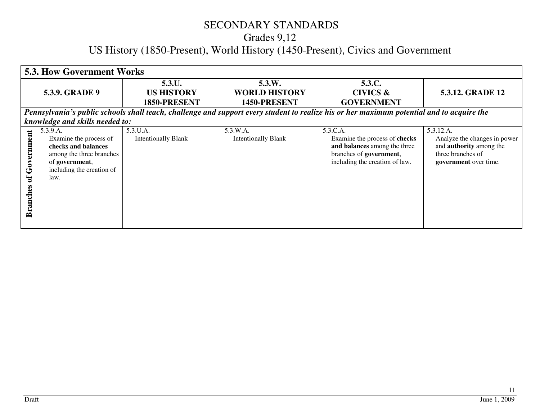# SECONDARY STANDARDS Grades 9,12 US History (1850-Present), World History (1450-Present), Civics and Government

|                                               | <b>5.3. How Government Works</b>                                                                                                             |                                             |                                                |                                                                                                                                           |                                                                                                                           |  |
|-----------------------------------------------|----------------------------------------------------------------------------------------------------------------------------------------------|---------------------------------------------|------------------------------------------------|-------------------------------------------------------------------------------------------------------------------------------------------|---------------------------------------------------------------------------------------------------------------------------|--|
|                                               | <b>5.3.9. GRADE 9</b>                                                                                                                        | 5.3.U.<br><b>US HISTORY</b><br>1850-PRESENT | 5.3.W.<br><b>WORLD HISTORY</b><br>1450-PRESENT | 5.3.C.<br><b>CIVICS &amp;</b><br><b>GOVERNMENT</b>                                                                                        | 5.3.12. GRADE 12                                                                                                          |  |
|                                               |                                                                                                                                              |                                             |                                                | Pennsylvania's public schools shall teach, challenge and support every student to realize his or her maximum potential and to acquire the |                                                                                                                           |  |
|                                               | knowledge and skills needed to:                                                                                                              |                                             |                                                |                                                                                                                                           |                                                                                                                           |  |
| Government<br>$\mathbf{d}$<br><b>Branches</b> | 5.3.9.A.<br>Examine the process of<br>checks and balances<br>among the three branches<br>of government,<br>including the creation of<br>law. | 5.3.U.A.<br><b>Intentionally Blank</b>      | 5.3.W.A.<br><b>Intentionally Blank</b>         | 5.3.C.A.<br>Examine the process of checks<br>and balances among the three<br>branches of government,<br>including the creation of law.    | 5.3.12.A.<br>Analyze the changes in power<br>and <b>authority</b> among the<br>three branches of<br>government over time. |  |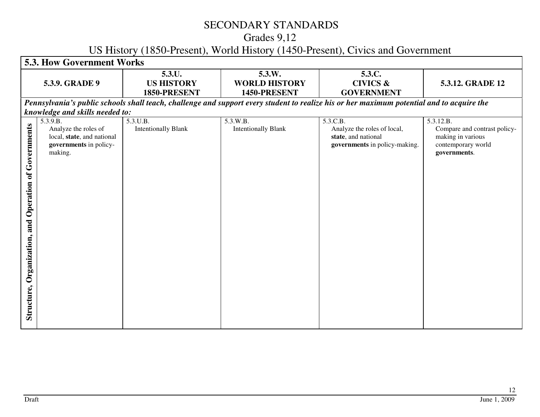# Grades 9,12

## US History (1850-Present), World History (1450-Present), Civics and Government

| <b>5.3. How Government Works</b>                                                                    |                                             |                                                |                                                                                                 |                                                                                                                                           |  |
|-----------------------------------------------------------------------------------------------------|---------------------------------------------|------------------------------------------------|-------------------------------------------------------------------------------------------------|-------------------------------------------------------------------------------------------------------------------------------------------|--|
| 5.3.9. GRADE 9                                                                                      | 5.3.U.<br><b>US HISTORY</b><br>1850-PRESENT | 5.3.W.<br><b>WORLD HISTORY</b><br>1450-PRESENT | 5.3.C.<br><b>CIVICS &amp;</b><br><b>GOVERNMENT</b>                                              | 5.3.12. GRADE 12                                                                                                                          |  |
|                                                                                                     |                                             |                                                |                                                                                                 |                                                                                                                                           |  |
|                                                                                                     |                                             |                                                |                                                                                                 |                                                                                                                                           |  |
| 5.3.9.B.<br>Analyze the roles of<br>local, state, and national<br>governments in policy-<br>making. | 5.3.U.B.<br><b>Intentionally Blank</b>      | 5.3.W.B.<br><b>Intentionally Blank</b>         | 5.3.C.B.<br>Analyze the roles of local,<br>state, and national<br>governments in policy-making. | 5.3.12.B.<br>Compare and contrast policy-<br>making in various<br>contemporary world<br>governments.                                      |  |
|                                                                                                     |                                             | knowledge and skills needed to:                |                                                                                                 | Pennsylvania's public schools shall teach, challenge and support every student to realize his or her maximum potential and to acquire the |  |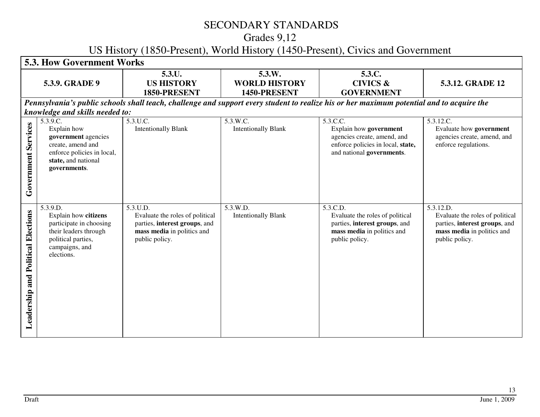# Grades 9,12

## US History (1850-Present), World History (1450-Present), Civics and Government

|                                       | <b>5.3. How Government Works</b>                                                                                                           |                                                                                                                              |                                                |                                                                                                                                           |                                                                                                                               |  |
|---------------------------------------|--------------------------------------------------------------------------------------------------------------------------------------------|------------------------------------------------------------------------------------------------------------------------------|------------------------------------------------|-------------------------------------------------------------------------------------------------------------------------------------------|-------------------------------------------------------------------------------------------------------------------------------|--|
|                                       | 5.3.9. GRADE 9                                                                                                                             | 5.3.U.<br><b>US HISTORY</b><br>1850-PRESENT                                                                                  | 5.3.W.<br><b>WORLD HISTORY</b><br>1450-PRESENT | 5.3.C.<br><b>CIVICS &amp;</b><br><b>GOVERNMENT</b>                                                                                        | 5.3.12. GRADE 12                                                                                                              |  |
|                                       | knowledge and skills needed to:                                                                                                            |                                                                                                                              |                                                | Pennsylvania's public schools shall teach, challenge and support every student to realize his or her maximum potential and to acquire the |                                                                                                                               |  |
| Services<br>Government                | 5.3.9.C.<br>Explain how<br>government agencies<br>create, amend and<br>enforce policies in local,<br>state, and national<br>governments.   | 5.3.U.C.<br><b>Intentionally Blank</b>                                                                                       | 5.3.W.C.<br><b>Intentionally Blank</b>         | 5.3.C.C.<br>Explain how government<br>agencies create, amend, and<br>enforce policies in local, state,<br>and national governments.       | 5.3.12.C.<br>Evaluate how government<br>agencies create, amend, and<br>enforce regulations.                                   |  |
| and Political Elections<br>Leadership | 5.3.9.D.<br>Explain how citizens<br>participate in choosing<br>their leaders through<br>political parties,<br>campaigns, and<br>elections. | 5.3.U.D.<br>Evaluate the roles of political<br>parties, interest groups, and<br>mass media in politics and<br>public policy. | 5.3.W.D.<br><b>Intentionally Blank</b>         | 5.3.C.D.<br>Evaluate the roles of political<br>parties, interest groups, and<br>mass media in politics and<br>public policy.              | 5.3.12.D.<br>Evaluate the roles of political<br>parties, interest groups, and<br>mass media in politics and<br>public policy. |  |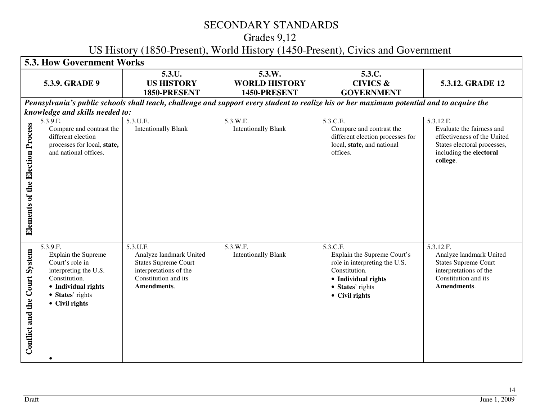# Grades 9,12

## US History (1850-Present), World History (1450-Present), Civics and Government

|                                     | <b>5.3. How Government Works</b>                                                                                                                          |                                                                                                                                     |                                                |                                                                                                                                                        |                                                                                                                                             |
|-------------------------------------|-----------------------------------------------------------------------------------------------------------------------------------------------------------|-------------------------------------------------------------------------------------------------------------------------------------|------------------------------------------------|--------------------------------------------------------------------------------------------------------------------------------------------------------|---------------------------------------------------------------------------------------------------------------------------------------------|
|                                     | 5.3.9. GRADE 9                                                                                                                                            | 5.3.U.<br><b>US HISTORY</b><br>1850-PRESENT                                                                                         | 5.3.W.<br><b>WORLD HISTORY</b><br>1450-PRESENT | 5.3.C.<br><b>CIVICS &amp;</b><br><b>GOVERNMENT</b>                                                                                                     | 5.3.12. GRADE 12                                                                                                                            |
|                                     |                                                                                                                                                           |                                                                                                                                     |                                                | Pennsylvania's public schools shall teach, challenge and support every student to realize his or her maximum potential and to acquire the              |                                                                                                                                             |
|                                     | knowledge and skills needed to:                                                                                                                           |                                                                                                                                     |                                                |                                                                                                                                                        |                                                                                                                                             |
| of the Election Process<br>Elements | 5.3.9.E.<br>Compare and contrast the<br>different election<br>processes for local, state,<br>and national offices.                                        | $5.3.\overline{U.E.}$<br><b>Intentionally Blank</b>                                                                                 | 5.3.W.E.<br><b>Intentionally Blank</b>         | 5.3.C.E.<br>Compare and contrast the<br>different election processes for<br>local, state, and national<br>offices.                                     | 5.3.12.E.<br>Evaluate the fairness and<br>effectiveness of the United<br>States electoral processes,<br>including the electoral<br>college. |
| System<br>Conflict and the Court    | 5.3.9.F.<br>Explain the Supreme<br>Court's role in<br>interpreting the U.S.<br>Constitution.<br>• Individual rights<br>• States' rights<br>• Civil rights | 5.3.U.F.<br>Analyze landmark United<br><b>States Supreme Court</b><br>interpretations of the<br>Constitution and its<br>Amendments. | 5.3.W.F.<br><b>Intentionally Blank</b>         | 5.3.C.F.<br>Explain the Supreme Court's<br>role in interpreting the U.S.<br>Constitution.<br>• Individual rights<br>• States' rights<br>• Civil rights | 5.3.12.F.<br>Analyze landmark United<br><b>States Supreme Court</b><br>interpretations of the<br>Constitution and its<br>Amendments.        |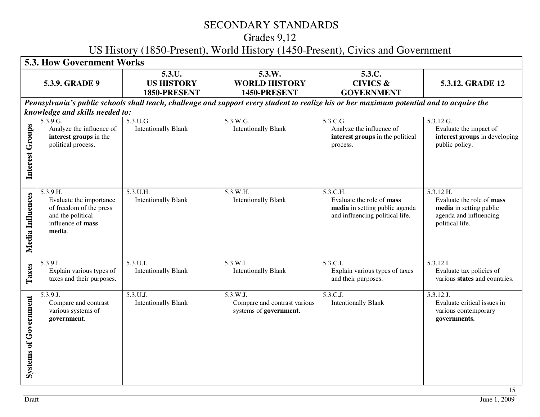# Grades 9,12

## US History (1850-Present), World History (1450-Present), Civics and Government

| <b>5.3. How Government Works</b> |                                                                                                                    |                                             |                                                                    |                                                                                                                                           |                                                                                                                |
|----------------------------------|--------------------------------------------------------------------------------------------------------------------|---------------------------------------------|--------------------------------------------------------------------|-------------------------------------------------------------------------------------------------------------------------------------------|----------------------------------------------------------------------------------------------------------------|
|                                  | 5.3.9. GRADE 9                                                                                                     | 5.3.U.<br><b>US HISTORY</b><br>1850-PRESENT | 5.3.W.<br><b>WORLD HISTORY</b><br>1450-PRESENT                     | 5.3.C.<br><b>CIVICS &amp;</b><br><b>GOVERNMENT</b>                                                                                        | 5.3.12. GRADE 12                                                                                               |
|                                  | knowledge and skills needed to:                                                                                    |                                             |                                                                    | Pennsylvania's public schools shall teach, challenge and support every student to realize his or her maximum potential and to acquire the |                                                                                                                |
| Groups<br>Interest               | 5.3.9.G.<br>Analyze the influence of<br>interest groups in the<br>political process.                               | 5.3.U.G.<br><b>Intentionally Blank</b>      | 5.3.W.G.<br><b>Intentionally Blank</b>                             | 5.3.C.G.<br>Analyze the influence of<br>interest groups in the political<br>process.                                                      | 5.3.12.G.<br>Evaluate the impact of<br>interest groups in developing<br>public policy.                         |
| Media Influences                 | 5.3.9.H.<br>Evaluate the importance<br>of freedom of the press<br>and the political<br>influence of mass<br>media. | 5.3.U.H.<br><b>Intentionally Blank</b>      | 5.3.W.H.<br><b>Intentionally Blank</b>                             | 5.3.C.H.<br>Evaluate the role of mass<br>media in setting public agenda<br>and influencing political life.                                | 5.3.12.H.<br>Evaluate the role of mass<br>media in setting public<br>agenda and influencing<br>political life. |
| Taxes                            | 5.3.9.I.<br>Explain various types of<br>taxes and their purposes.                                                  | 5.3.U.I.<br><b>Intentionally Blank</b>      | 5.3.W.I.<br><b>Intentionally Blank</b>                             | 5.3.C.I.<br>Explain various types of taxes<br>and their purposes.                                                                         | 5.3.12.I.<br>Evaluate tax policies of<br>various states and countries.                                         |
| <b>Systems of Government</b>     | 5.3.9.J.<br>Compare and contrast<br>various systems of<br>government.                                              | 5.3.U.J.<br><b>Intentionally Blank</b>      | 5.3.W.J.<br>Compare and contrast various<br>systems of government. | 5.3.C.J.<br><b>Intentionally Blank</b>                                                                                                    | 5.3.12.J.<br>Evaluate critical issues in<br>various contemporary<br>governments.<br>15                         |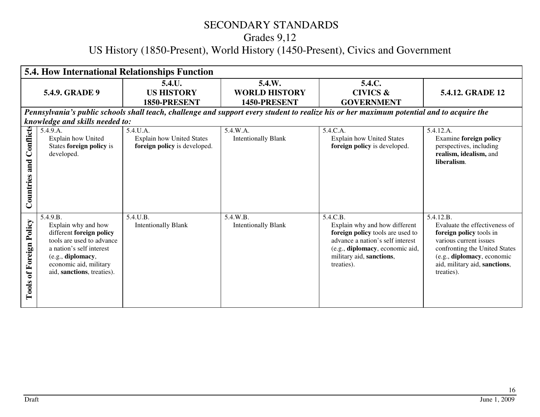# Grades 9,12

# US History (1850-Present), World History (1450-Present), Civics and Government

| <b>5.4. How International Relationships Function</b> |                                                                                                                                                                                                   |                                                                              |                                                |                                                                                                                                                                                                |                                                                                                                                                                                                               |
|------------------------------------------------------|---------------------------------------------------------------------------------------------------------------------------------------------------------------------------------------------------|------------------------------------------------------------------------------|------------------------------------------------|------------------------------------------------------------------------------------------------------------------------------------------------------------------------------------------------|---------------------------------------------------------------------------------------------------------------------------------------------------------------------------------------------------------------|
|                                                      | <b>5.4.9. GRADE 9</b>                                                                                                                                                                             | 5.4.U.<br><b>US HISTORY</b><br>1850-PRESENT                                  | 5.4.W.<br><b>WORLD HISTORY</b><br>1450-PRESENT | 5.4.C.<br><b>CIVICS &amp;</b><br><b>GOVERNMENT</b>                                                                                                                                             | 5.4.12. GRADE 12                                                                                                                                                                                              |
|                                                      |                                                                                                                                                                                                   |                                                                              |                                                | Pennsylvania's public schools shall teach, challenge and support every student to realize his or her maximum potential and to acquire the                                                      |                                                                                                                                                                                                               |
|                                                      | knowledge and skills needed to:                                                                                                                                                                   |                                                                              |                                                |                                                                                                                                                                                                |                                                                                                                                                                                                               |
| Conflicts<br>and<br>Countries                        | 5.4.9.A.<br>Explain how United<br>States foreign policy is<br>developed.                                                                                                                          | 5.4.U.A.<br><b>Explain how United States</b><br>foreign policy is developed. | 5.4.W.A.<br><b>Intentionally Blank</b>         | 5.4.C.A.<br><b>Explain how United States</b><br>foreign policy is developed.                                                                                                                   | 5.4.12.A.<br><b>Examine foreign policy</b><br>perspectives, including<br>realism, idealism, and<br>liberalism.                                                                                                |
| <b>Tools of Foreign Policy</b>                       | 5.4.9.B.<br>Explain why and how<br>different foreign policy<br>tools are used to advance<br>a nation's self interest<br>(e.g., diplomacy,<br>economic aid, military<br>aid, sanctions, treaties). | 5.4.U.B.<br><b>Intentionally Blank</b>                                       | 5.4.W.B.<br><b>Intentionally Blank</b>         | 5.4.C.B.<br>Explain why and how different<br>foreign policy tools are used to<br>advance a nation's self interest<br>(e.g., diplomacy, economic aid,<br>military aid, sanctions,<br>treaties). | 5.4.12.B.<br>Evaluate the effectiveness of<br>foreign policy tools in<br>various current issues<br>confronting the United States<br>(e.g., diplomacy, economic<br>aid, military aid, sanctions,<br>treaties). |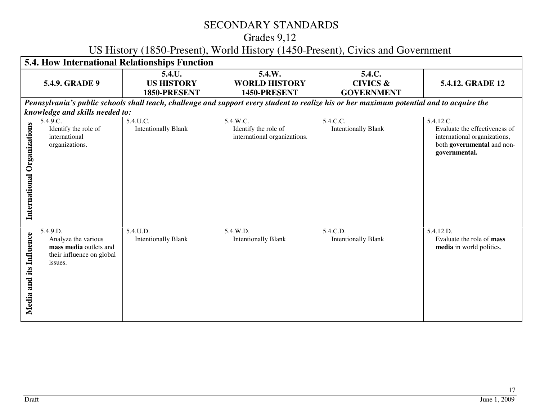# Grades 9,12

## US History (1850-Present), World History (1450-Present), Civics and Government

| 5.4. How International Relationships Function |                                                                                                                     |                                             |                                                                  |                                                                                                                                           |                                                                                                                           |
|-----------------------------------------------|---------------------------------------------------------------------------------------------------------------------|---------------------------------------------|------------------------------------------------------------------|-------------------------------------------------------------------------------------------------------------------------------------------|---------------------------------------------------------------------------------------------------------------------------|
|                                               | 5.4.9. GRADE 9                                                                                                      | 5.4.U.<br><b>US HISTORY</b><br>1850-PRESENT | 5.4.W.<br><b>WORLD HISTORY</b><br>1450-PRESENT                   | 5.4.C.<br><b>CIVICS &amp;</b><br><b>GOVERNMENT</b>                                                                                        | 5.4.12. GRADE 12                                                                                                          |
|                                               |                                                                                                                     |                                             |                                                                  | Pennsylvania's public schools shall teach, challenge and support every student to realize his or her maximum potential and to acquire the |                                                                                                                           |
| Organizations<br>International                | knowledge and skills needed to:<br>$5.4.\overline{9.C.}$<br>Identify the role of<br>international<br>organizations. | 5.4.U.C.<br><b>Intentionally Blank</b>      | 5.4.W.C.<br>Identify the role of<br>international organizations. | 5.4.C.C.<br><b>Intentionally Blank</b>                                                                                                    | 5.4.12.C.<br>Evaluate the effectiveness of<br>international organizations,<br>both governmental and non-<br>governmental. |
| its Influence<br>Media and                    | 5.4.9.D.<br>Analyze the various<br>mass media outlets and<br>their influence on global<br>issues.                   | 5.4.U.D.<br><b>Intentionally Blank</b>      | 5.4.W.D.<br><b>Intentionally Blank</b>                           | 5.4.C.D.<br><b>Intentionally Blank</b>                                                                                                    | 5.4.12.D.<br>Evaluate the role of mass<br>media in world politics.                                                        |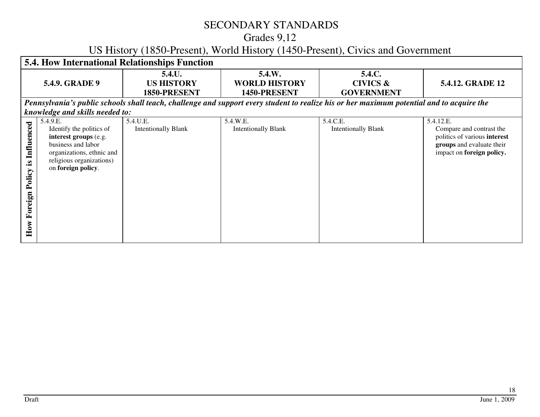# Grades 9,12

# US History (1850-Present), World History (1450-Present), Civics and Government

| <b>5.4. How International Relationships Function</b>        |                                                                                                                                                                                                       |                                             |                                                |                                                                                                                                           |                                                                                                                                 |
|-------------------------------------------------------------|-------------------------------------------------------------------------------------------------------------------------------------------------------------------------------------------------------|---------------------------------------------|------------------------------------------------|-------------------------------------------------------------------------------------------------------------------------------------------|---------------------------------------------------------------------------------------------------------------------------------|
|                                                             | <b>5.4.9. GRADE 9</b>                                                                                                                                                                                 | 5.4.U.<br><b>US HISTORY</b><br>1850-PRESENT | 5.4.W.<br><b>WORLD HISTORY</b><br>1450-PRESENT | 5.4.C.<br><b>CIVICS &amp;</b><br><b>GOVERNMENT</b>                                                                                        | 5.4.12. GRADE 12                                                                                                                |
|                                                             |                                                                                                                                                                                                       |                                             |                                                | Pennsylvania's public schools shall teach, challenge and support every student to realize his or her maximum potential and to acquire the |                                                                                                                                 |
| Influenced<br>$\mathbf{\underline{s}}.$<br>Policy<br>oreign | knowledge and skills needed to:<br>5.4.9.E.<br>Identify the politics of<br>interest groups (e.g.<br>business and labor<br>organizations, ethnic and<br>religious organizations)<br>on foreign policy. | 5.4.U.E.<br><b>Intentionally Blank</b>      | 5.4.W.E.<br><b>Intentionally Blank</b>         | 5.4.C.E.<br><b>Intentionally Blank</b>                                                                                                    | 5.4.12.E.<br>Compare and contrast the<br>politics of various interest<br>groups and evaluate their<br>impact on foreign policy. |
| 匞<br>How                                                    |                                                                                                                                                                                                       |                                             |                                                |                                                                                                                                           |                                                                                                                                 |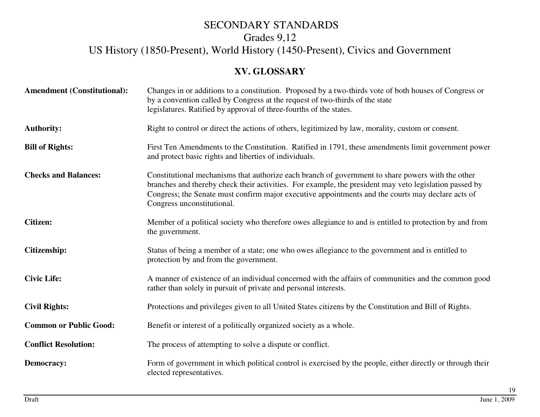## Grades 9,12

# US History (1850-Present), World History (1450-Present), Civics and Government

#### **XV. GLOSSARY**

| <b>Amendment (Constitutional):</b> | Changes in or additions to a constitution. Proposed by a two-thirds vote of both houses of Congress or<br>by a convention called by Congress at the request of two-thirds of the state<br>legislatures. Ratified by approval of three-fourths of the states.                                                                                   |
|------------------------------------|------------------------------------------------------------------------------------------------------------------------------------------------------------------------------------------------------------------------------------------------------------------------------------------------------------------------------------------------|
| <b>Authority:</b>                  | Right to control or direct the actions of others, legitimized by law, morality, custom or consent.                                                                                                                                                                                                                                             |
| <b>Bill of Rights:</b>             | First Ten Amendments to the Constitution. Ratified in 1791, these amendments limit government power<br>and protect basic rights and liberties of individuals.                                                                                                                                                                                  |
| <b>Checks and Balances:</b>        | Constitutional mechanisms that authorize each branch of government to share powers with the other<br>branches and thereby check their activities. For example, the president may veto legislation passed by<br>Congress; the Senate must confirm major executive appointments and the courts may declare acts of<br>Congress unconstitutional. |
| <b>Citizen:</b>                    | Member of a political society who therefore owes allegiance to and is entitled to protection by and from<br>the government.                                                                                                                                                                                                                    |
| <b>Citizenship:</b>                | Status of being a member of a state; one who owes allegiance to the government and is entitled to<br>protection by and from the government.                                                                                                                                                                                                    |
| <b>Civic Life:</b>                 | A manner of existence of an individual concerned with the affairs of communities and the common good<br>rather than solely in pursuit of private and personal interests.                                                                                                                                                                       |
| <b>Civil Rights:</b>               | Protections and privileges given to all United States citizens by the Constitution and Bill of Rights.                                                                                                                                                                                                                                         |
| <b>Common or Public Good:</b>      | Benefit or interest of a politically organized society as a whole.                                                                                                                                                                                                                                                                             |
| <b>Conflict Resolution:</b>        | The process of attempting to solve a dispute or conflict.                                                                                                                                                                                                                                                                                      |
| <b>Democracy:</b>                  | Form of government in which political control is exercised by the people, either directly or through their<br>elected representatives.                                                                                                                                                                                                         |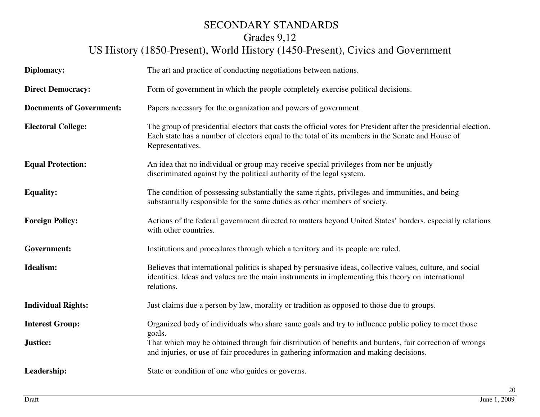# Grades 9,12

# US History (1850-Present), World History (1450-Present), Civics and Government

| Diplomacy:                      | The art and practice of conducting negotiations between nations.                                                                                                                                                                        |  |  |
|---------------------------------|-----------------------------------------------------------------------------------------------------------------------------------------------------------------------------------------------------------------------------------------|--|--|
| <b>Direct Democracy:</b>        | Form of government in which the people completely exercise political decisions.                                                                                                                                                         |  |  |
| <b>Documents of Government:</b> | Papers necessary for the organization and powers of government.                                                                                                                                                                         |  |  |
| <b>Electoral College:</b>       | The group of presidential electors that casts the official votes for President after the presidential election.<br>Each state has a number of electors equal to the total of its members in the Senate and House of<br>Representatives. |  |  |
| <b>Equal Protection:</b>        | An idea that no individual or group may receive special privileges from nor be unjustly<br>discriminated against by the political authority of the legal system.                                                                        |  |  |
| <b>Equality:</b>                | The condition of possessing substantially the same rights, privileges and immunities, and being<br>substantially responsible for the same duties as other members of society.                                                           |  |  |
| <b>Foreign Policy:</b>          | Actions of the federal government directed to matters beyond United States' borders, especially relations<br>with other countries.                                                                                                      |  |  |
| Government:                     | Institutions and procedures through which a territory and its people are ruled.                                                                                                                                                         |  |  |
| <b>Idealism:</b>                | Believes that international politics is shaped by persuasive ideas, collective values, culture, and social<br>identities. Ideas and values are the main instruments in implementing this theory on international<br>relations.          |  |  |
| <b>Individual Rights:</b>       | Just claims due a person by law, morality or tradition as opposed to those due to groups.                                                                                                                                               |  |  |
| <b>Interest Group:</b>          | Organized body of individuals who share same goals and try to influence public policy to meet those<br>goals.                                                                                                                           |  |  |
| Justice:                        | That which may be obtained through fair distribution of benefits and burdens, fair correction of wrongs<br>and injuries, or use of fair procedures in gathering information and making decisions.                                       |  |  |
| Leadership:                     | State or condition of one who guides or governs.                                                                                                                                                                                        |  |  |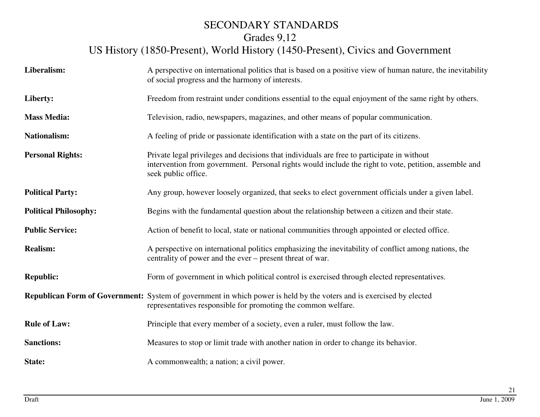# Grades 9,12

# US History (1850-Present), World History (1450-Present), Civics and Government

| Liberalism:                  | A perspective on international politics that is based on a positive view of human nature, the inevitability<br>of social progress and the harmony of interests.                                                            |
|------------------------------|----------------------------------------------------------------------------------------------------------------------------------------------------------------------------------------------------------------------------|
| Liberty:                     | Freedom from restraint under conditions essential to the equal enjoyment of the same right by others.                                                                                                                      |
| <b>Mass Media:</b>           | Television, radio, newspapers, magazines, and other means of popular communication.                                                                                                                                        |
| <b>Nationalism:</b>          | A feeling of pride or passionate identification with a state on the part of its citizens.                                                                                                                                  |
| <b>Personal Rights:</b>      | Private legal privileges and decisions that individuals are free to participate in without<br>intervention from government. Personal rights would include the right to vote, petition, assemble and<br>seek public office. |
| <b>Political Party:</b>      | Any group, however loosely organized, that seeks to elect government officials under a given label.                                                                                                                        |
| <b>Political Philosophy:</b> | Begins with the fundamental question about the relationship between a citizen and their state.                                                                                                                             |
| <b>Public Service:</b>       | Action of benefit to local, state or national communities through appointed or elected office.                                                                                                                             |
| <b>Realism:</b>              | A perspective on international politics emphasizing the inevitability of conflict among nations, the<br>centrality of power and the ever – present threat of war.                                                          |
| <b>Republic:</b>             | Form of government in which political control is exercised through elected representatives.                                                                                                                                |
|                              | <b>Republican Form of Government:</b> System of government in which power is held by the voters and is exercised by elected<br>representatives responsible for promoting the common welfare.                               |
| <b>Rule of Law:</b>          | Principle that every member of a society, even a ruler, must follow the law.                                                                                                                                               |
| <b>Sanctions:</b>            | Measures to stop or limit trade with another nation in order to change its behavior.                                                                                                                                       |
| State:                       | A commonwealth; a nation; a civil power.                                                                                                                                                                                   |